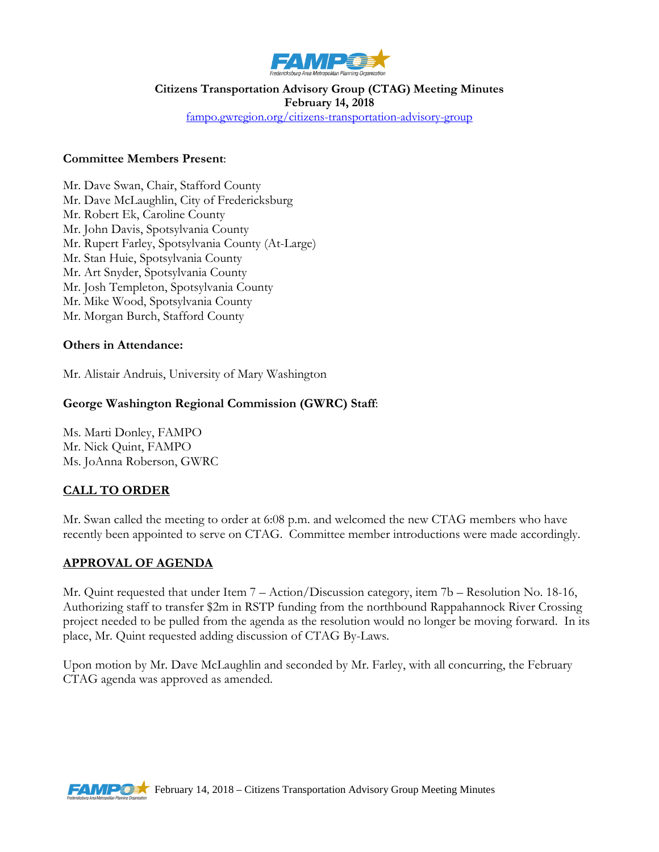

# **Citizens Transportation Advisory Group (CTAG) Meeting Minutes February 14, 2018**

[fampo.gwregion.org/citizens-transportation-advisory-group](http://www.fampo.gwregion.org/transportation-advisory-group/)

#### **Committee Members Present**:

Mr. Dave Swan, Chair, Stafford County Mr. Dave McLaughlin, City of Fredericksburg Mr. Robert Ek, Caroline County Mr. John Davis, Spotsylvania County Mr. Rupert Farley, Spotsylvania County (At-Large) Mr. Stan Huie, Spotsylvania County Mr. Art Snyder, Spotsylvania County Mr. Josh Templeton, Spotsylvania County Mr. Mike Wood, Spotsylvania County Mr. Morgan Burch, Stafford County

#### **Others in Attendance:**

Mr. Alistair Andruis, University of Mary Washington

#### **George Washington Regional Commission (GWRC) Staff**:

Ms. Marti Donley, FAMPO Mr. Nick Quint, FAMPO Ms. JoAnna Roberson, GWRC

### **CALL TO ORDER**

Mr. Swan called the meeting to order at 6:08 p.m. and welcomed the new CTAG members who have recently been appointed to serve on CTAG. Committee member introductions were made accordingly.

### **APPROVAL OF AGENDA**

Mr. Quint requested that under Item 7 – Action/Discussion category, item 7b – Resolution No. 18-16, Authorizing staff to transfer \$2m in RSTP funding from the northbound Rappahannock River Crossing project needed to be pulled from the agenda as the resolution would no longer be moving forward. In its place, Mr. Quint requested adding discussion of CTAG By-Laws.

Upon motion by Mr. Dave McLaughlin and seconded by Mr. Farley, with all concurring, the February CTAG agenda was approved as amended.

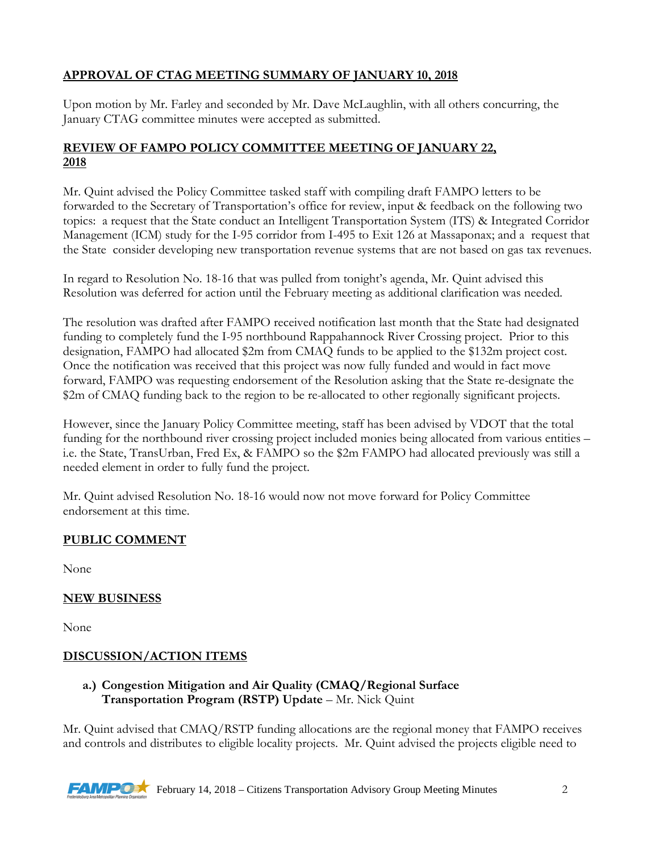# **APPROVAL OF CTAG MEETING SUMMARY OF JANUARY 10, 2018**

Upon motion by Mr. Farley and seconded by Mr. Dave McLaughlin, with all others concurring, the January CTAG committee minutes were accepted as submitted.

### **REVIEW OF FAMPO POLICY COMMITTEE MEETING OF JANUARY 22, 2018**

Mr. Quint advised the Policy Committee tasked staff with compiling draft FAMPO letters to be forwarded to the Secretary of Transportation's office for review, input & feedback on the following two topics: a request that the State conduct an Intelligent Transportation System (ITS) & Integrated Corridor Management (ICM) study for the I-95 corridor from I-495 to Exit 126 at Massaponax; and a request that the State consider developing new transportation revenue systems that are not based on gas tax revenues.

In regard to Resolution No. 18-16 that was pulled from tonight's agenda, Mr. Quint advised this Resolution was deferred for action until the February meeting as additional clarification was needed.

The resolution was drafted after FAMPO received notification last month that the State had designated funding to completely fund the I-95 northbound Rappahannock River Crossing project. Prior to this designation, FAMPO had allocated \$2m from CMAQ funds to be applied to the \$132m project cost. Once the notification was received that this project was now fully funded and would in fact move forward, FAMPO was requesting endorsement of the Resolution asking that the State re-designate the \$2m of CMAQ funding back to the region to be re-allocated to other regionally significant projects.

However, since the January Policy Committee meeting, staff has been advised by VDOT that the total funding for the northbound river crossing project included monies being allocated from various entities – i.e. the State, TransUrban, Fred Ex, & FAMPO so the \$2m FAMPO had allocated previously was still a needed element in order to fully fund the project.

Mr. Quint advised Resolution No. 18-16 would now not move forward for Policy Committee endorsement at this time.

# **PUBLIC COMMENT**

None

# **NEW BUSINESS**

None

# **DISCUSSION/ACTION ITEMS**

### **a.) Congestion Mitigation and Air Quality (CMAQ/Regional Surface Transportation Program (RSTP) Update** – Mr. Nick Quint

Mr. Quint advised that CMAQ/RSTP funding allocations are the regional money that FAMPO receives and controls and distributes to eligible locality projects. Mr. Quint advised the projects eligible need to

**FAMP C** February 14, 2018 – Citizens Transportation Advisory Group Meeting Minutes 2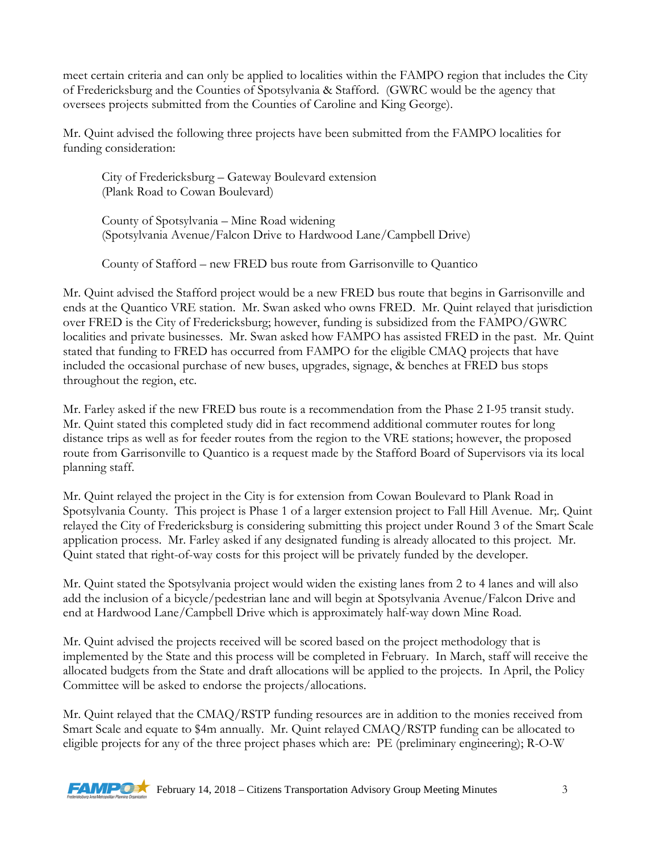meet certain criteria and can only be applied to localities within the FAMPO region that includes the City of Fredericksburg and the Counties of Spotsylvania & Stafford. (GWRC would be the agency that oversees projects submitted from the Counties of Caroline and King George).

Mr. Quint advised the following three projects have been submitted from the FAMPO localities for funding consideration:

City of Fredericksburg – Gateway Boulevard extension (Plank Road to Cowan Boulevard)

County of Spotsylvania – Mine Road widening (Spotsylvania Avenue/Falcon Drive to Hardwood Lane/Campbell Drive)

County of Stafford – new FRED bus route from Garrisonville to Quantico

Mr. Quint advised the Stafford project would be a new FRED bus route that begins in Garrisonville and ends at the Quantico VRE station. Mr. Swan asked who owns FRED. Mr. Quint relayed that jurisdiction over FRED is the City of Fredericksburg; however, funding is subsidized from the FAMPO/GWRC localities and private businesses. Mr. Swan asked how FAMPO has assisted FRED in the past. Mr. Quint stated that funding to FRED has occurred from FAMPO for the eligible CMAQ projects that have included the occasional purchase of new buses, upgrades, signage, & benches at FRED bus stops throughout the region, etc.

Mr. Farley asked if the new FRED bus route is a recommendation from the Phase 2 I-95 transit study. Mr. Quint stated this completed study did in fact recommend additional commuter routes for long distance trips as well as for feeder routes from the region to the VRE stations; however, the proposed route from Garrisonville to Quantico is a request made by the Stafford Board of Supervisors via its local planning staff.

Mr. Quint relayed the project in the City is for extension from Cowan Boulevard to Plank Road in Spotsylvania County. This project is Phase 1 of a larger extension project to Fall Hill Avenue. Mr;. Quint relayed the City of Fredericksburg is considering submitting this project under Round 3 of the Smart Scale application process. Mr. Farley asked if any designated funding is already allocated to this project. Mr. Quint stated that right-of-way costs for this project will be privately funded by the developer.

Mr. Quint stated the Spotsylvania project would widen the existing lanes from 2 to 4 lanes and will also add the inclusion of a bicycle/pedestrian lane and will begin at Spotsylvania Avenue/Falcon Drive and end at Hardwood Lane/Campbell Drive which is approximately half-way down Mine Road.

Mr. Quint advised the projects received will be scored based on the project methodology that is implemented by the State and this process will be completed in February. In March, staff will receive the allocated budgets from the State and draft allocations will be applied to the projects. In April, the Policy Committee will be asked to endorse the projects/allocations.

Mr. Quint relayed that the CMAQ/RSTP funding resources are in addition to the monies received from Smart Scale and equate to \$4m annually. Mr. Quint relayed CMAQ/RSTP funding can be allocated to eligible projects for any of the three project phases which are: PE (preliminary engineering); R-O-W



**FAMPOR** February 14, 2018 – Citizens Transportation Advisory Group Meeting Minutes  $\frac{3}{3}$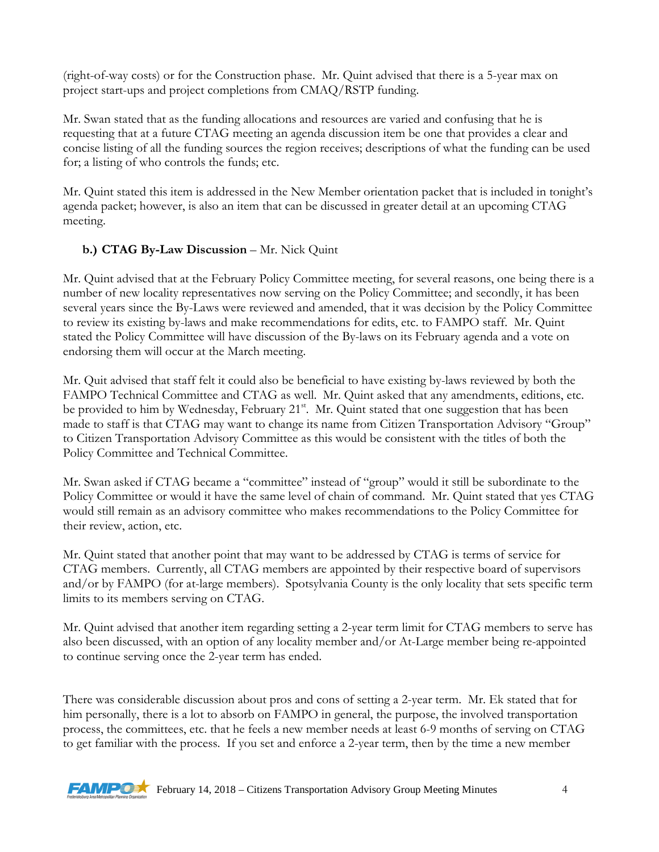(right-of-way costs) or for the Construction phase. Mr. Quint advised that there is a 5-year max on project start-ups and project completions from CMAQ/RSTP funding.

Mr. Swan stated that as the funding allocations and resources are varied and confusing that he is requesting that at a future CTAG meeting an agenda discussion item be one that provides a clear and concise listing of all the funding sources the region receives; descriptions of what the funding can be used for; a listing of who controls the funds; etc.

Mr. Quint stated this item is addressed in the New Member orientation packet that is included in tonight's agenda packet; however, is also an item that can be discussed in greater detail at an upcoming CTAG meeting.

### **b.) CTAG By-Law Discussion** – Mr. Nick Quint

Mr. Quint advised that at the February Policy Committee meeting, for several reasons, one being there is a number of new locality representatives now serving on the Policy Committee; and secondly, it has been several years since the By-Laws were reviewed and amended, that it was decision by the Policy Committee to review its existing by-laws and make recommendations for edits, etc. to FAMPO staff. Mr. Quint stated the Policy Committee will have discussion of the By-laws on its February agenda and a vote on endorsing them will occur at the March meeting.

Mr. Quit advised that staff felt it could also be beneficial to have existing by-laws reviewed by both the FAMPO Technical Committee and CTAG as well. Mr. Quint asked that any amendments, editions, etc. be provided to him by Wednesday, February  $21^{st}$ . Mr. Quint stated that one suggestion that has been made to staff is that CTAG may want to change its name from Citizen Transportation Advisory "Group" to Citizen Transportation Advisory Committee as this would be consistent with the titles of both the Policy Committee and Technical Committee.

Mr. Swan asked if CTAG became a "committee" instead of "group" would it still be subordinate to the Policy Committee or would it have the same level of chain of command. Mr. Quint stated that yes CTAG would still remain as an advisory committee who makes recommendations to the Policy Committee for their review, action, etc.

Mr. Quint stated that another point that may want to be addressed by CTAG is terms of service for CTAG members. Currently, all CTAG members are appointed by their respective board of supervisors and/or by FAMPO (for at-large members). Spotsylvania County is the only locality that sets specific term limits to its members serving on CTAG.

Mr. Quint advised that another item regarding setting a 2-year term limit for CTAG members to serve has also been discussed, with an option of any locality member and/or At-Large member being re-appointed to continue serving once the 2-year term has ended.

There was considerable discussion about pros and cons of setting a 2-year term. Mr. Ek stated that for him personally, there is a lot to absorb on FAMPO in general, the purpose, the involved transportation process, the committees, etc. that he feels a new member needs at least 6-9 months of serving on CTAG to get familiar with the process. If you set and enforce a 2-year term, then by the time a new member

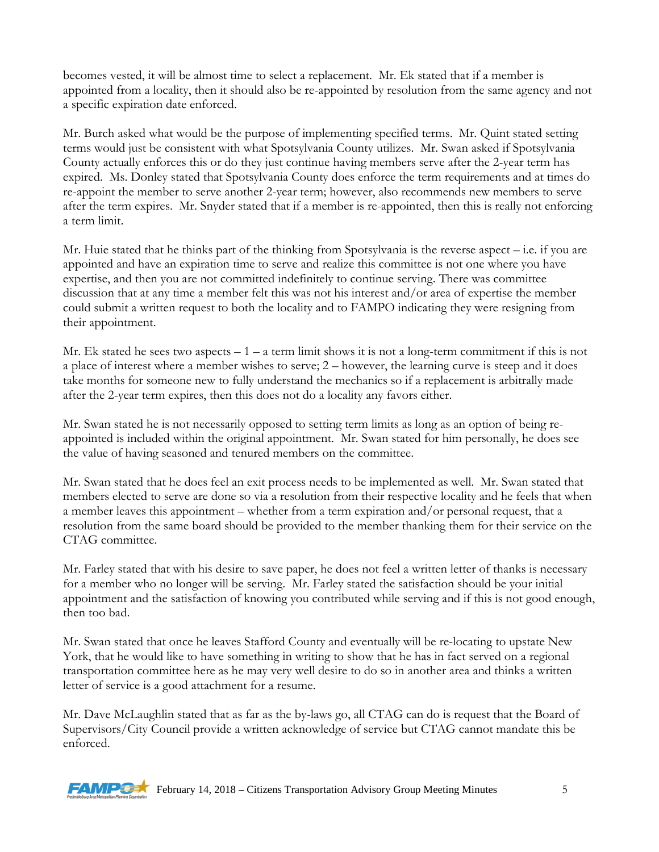becomes vested, it will be almost time to select a replacement. Mr. Ek stated that if a member is appointed from a locality, then it should also be re-appointed by resolution from the same agency and not a specific expiration date enforced.

Mr. Burch asked what would be the purpose of implementing specified terms. Mr. Quint stated setting terms would just be consistent with what Spotsylvania County utilizes. Mr. Swan asked if Spotsylvania County actually enforces this or do they just continue having members serve after the 2-year term has expired. Ms. Donley stated that Spotsylvania County does enforce the term requirements and at times do re-appoint the member to serve another 2-year term; however, also recommends new members to serve after the term expires. Mr. Snyder stated that if a member is re-appointed, then this is really not enforcing a term limit.

Mr. Huie stated that he thinks part of the thinking from Spotsylvania is the reverse aspect – i.e. if you are appointed and have an expiration time to serve and realize this committee is not one where you have expertise, and then you are not committed indefinitely to continue serving. There was committee discussion that at any time a member felt this was not his interest and/or area of expertise the member could submit a written request to both the locality and to FAMPO indicating they were resigning from their appointment.

Mr. Ek stated he sees two aspects  $-1 - a$  term limit shows it is not a long-term commitment if this is not a place of interest where a member wishes to serve; 2 – however, the learning curve is steep and it does take months for someone new to fully understand the mechanics so if a replacement is arbitrally made after the 2-year term expires, then this does not do a locality any favors either.

Mr. Swan stated he is not necessarily opposed to setting term limits as long as an option of being reappointed is included within the original appointment. Mr. Swan stated for him personally, he does see the value of having seasoned and tenured members on the committee.

Mr. Swan stated that he does feel an exit process needs to be implemented as well. Mr. Swan stated that members elected to serve are done so via a resolution from their respective locality and he feels that when a member leaves this appointment – whether from a term expiration and/or personal request, that a resolution from the same board should be provided to the member thanking them for their service on the CTAG committee.

Mr. Farley stated that with his desire to save paper, he does not feel a written letter of thanks is necessary for a member who no longer will be serving. Mr. Farley stated the satisfaction should be your initial appointment and the satisfaction of knowing you contributed while serving and if this is not good enough, then too bad.

Mr. Swan stated that once he leaves Stafford County and eventually will be re-locating to upstate New York, that he would like to have something in writing to show that he has in fact served on a regional transportation committee here as he may very well desire to do so in another area and thinks a written letter of service is a good attachment for a resume.

Mr. Dave McLaughlin stated that as far as the by-laws go, all CTAG can do is request that the Board of Supervisors/City Council provide a written acknowledge of service but CTAG cannot mandate this be enforced.

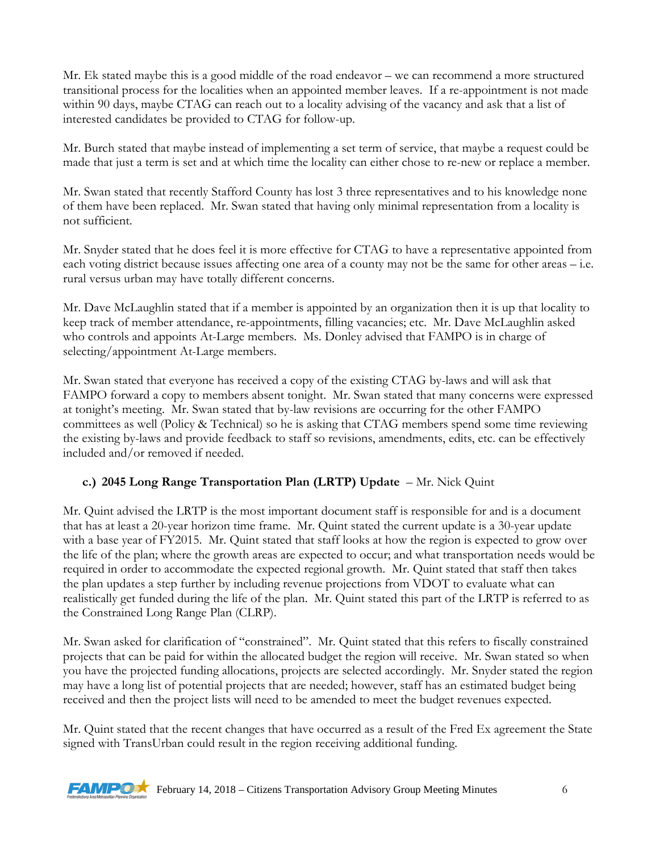Mr. Ek stated maybe this is a good middle of the road endeavor – we can recommend a more structured transitional process for the localities when an appointed member leaves. If a re-appointment is not made within 90 days, maybe CTAG can reach out to a locality advising of the vacancy and ask that a list of interested candidates be provided to CTAG for follow-up.

Mr. Burch stated that maybe instead of implementing a set term of service, that maybe a request could be made that just a term is set and at which time the locality can either chose to re-new or replace a member.

Mr. Swan stated that recently Stafford County has lost 3 three representatives and to his knowledge none of them have been replaced. Mr. Swan stated that having only minimal representation from a locality is not sufficient.

Mr. Snyder stated that he does feel it is more effective for CTAG to have a representative appointed from each voting district because issues affecting one area of a county may not be the same for other areas – i.e. rural versus urban may have totally different concerns.

Mr. Dave McLaughlin stated that if a member is appointed by an organization then it is up that locality to keep track of member attendance, re-appointments, filling vacancies; etc. Mr. Dave McLaughlin asked who controls and appoints At-Large members. Ms. Donley advised that FAMPO is in charge of selecting/appointment At-Large members.

Mr. Swan stated that everyone has received a copy of the existing CTAG by-laws and will ask that FAMPO forward a copy to members absent tonight. Mr. Swan stated that many concerns were expressed at tonight's meeting. Mr. Swan stated that by-law revisions are occurring for the other FAMPO committees as well (Policy & Technical) so he is asking that CTAG members spend some time reviewing the existing by-laws and provide feedback to staff so revisions, amendments, edits, etc. can be effectively included and/or removed if needed.

# **c.) 2045 Long Range Transportation Plan (LRTP) Update** – Mr. Nick Quint

Mr. Quint advised the LRTP is the most important document staff is responsible for and is a document that has at least a 20-year horizon time frame. Mr. Quint stated the current update is a 30-year update with a base year of FY2015. Mr. Quint stated that staff looks at how the region is expected to grow over the life of the plan; where the growth areas are expected to occur; and what transportation needs would be required in order to accommodate the expected regional growth. Mr. Quint stated that staff then takes the plan updates a step further by including revenue projections from VDOT to evaluate what can realistically get funded during the life of the plan. Mr. Quint stated this part of the LRTP is referred to as the Constrained Long Range Plan (CLRP).

Mr. Swan asked for clarification of "constrained". Mr. Quint stated that this refers to fiscally constrained projects that can be paid for within the allocated budget the region will receive. Mr. Swan stated so when you have the projected funding allocations, projects are selected accordingly. Mr. Snyder stated the region may have a long list of potential projects that are needed; however, staff has an estimated budget being received and then the project lists will need to be amended to meet the budget revenues expected.

Mr. Quint stated that the recent changes that have occurred as a result of the Fred Ex agreement the State signed with TransUrban could result in the region receiving additional funding.

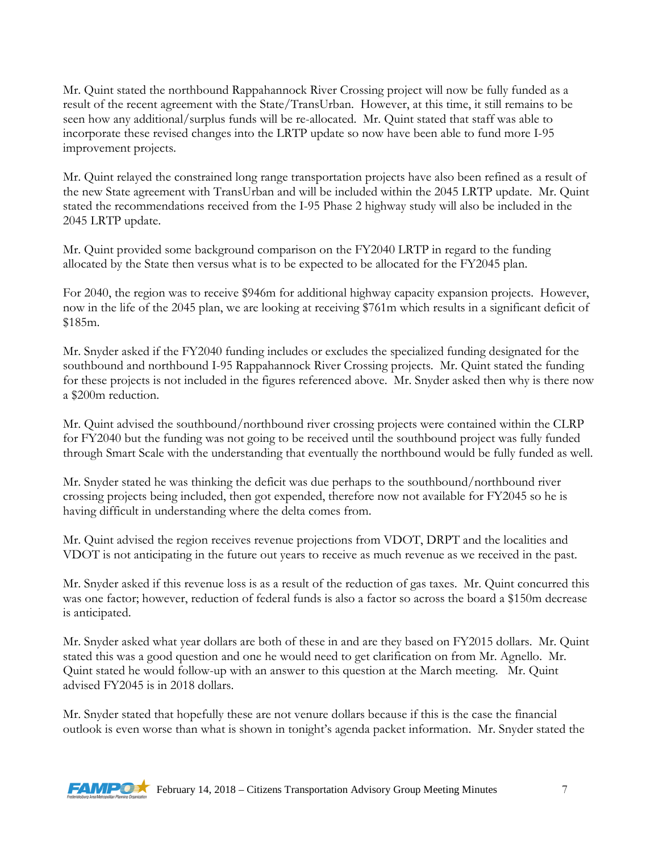Mr. Quint stated the northbound Rappahannock River Crossing project will now be fully funded as a result of the recent agreement with the State/TransUrban. However, at this time, it still remains to be seen how any additional/surplus funds will be re-allocated. Mr. Quint stated that staff was able to incorporate these revised changes into the LRTP update so now have been able to fund more I-95 improvement projects.

Mr. Quint relayed the constrained long range transportation projects have also been refined as a result of the new State agreement with TransUrban and will be included within the 2045 LRTP update. Mr. Quint stated the recommendations received from the I-95 Phase 2 highway study will also be included in the 2045 LRTP update.

Mr. Quint provided some background comparison on the FY2040 LRTP in regard to the funding allocated by the State then versus what is to be expected to be allocated for the FY2045 plan.

For 2040, the region was to receive \$946m for additional highway capacity expansion projects. However, now in the life of the 2045 plan, we are looking at receiving \$761m which results in a significant deficit of \$185m.

Mr. Snyder asked if the FY2040 funding includes or excludes the specialized funding designated for the southbound and northbound I-95 Rappahannock River Crossing projects. Mr. Quint stated the funding for these projects is not included in the figures referenced above. Mr. Snyder asked then why is there now a \$200m reduction.

Mr. Quint advised the southbound/northbound river crossing projects were contained within the CLRP for FY2040 but the funding was not going to be received until the southbound project was fully funded through Smart Scale with the understanding that eventually the northbound would be fully funded as well.

Mr. Snyder stated he was thinking the deficit was due perhaps to the southbound/northbound river crossing projects being included, then got expended, therefore now not available for FY2045 so he is having difficult in understanding where the delta comes from.

Mr. Quint advised the region receives revenue projections from VDOT, DRPT and the localities and VDOT is not anticipating in the future out years to receive as much revenue as we received in the past.

Mr. Snyder asked if this revenue loss is as a result of the reduction of gas taxes. Mr. Quint concurred this was one factor; however, reduction of federal funds is also a factor so across the board a \$150m decrease is anticipated.

Mr. Snyder asked what year dollars are both of these in and are they based on FY2015 dollars. Mr. Quint stated this was a good question and one he would need to get clarification on from Mr. Agnello. Mr. Quint stated he would follow-up with an answer to this question at the March meeting. Mr. Quint advised FY2045 is in 2018 dollars.

Mr. Snyder stated that hopefully these are not venure dollars because if this is the case the financial outlook is even worse than what is shown in tonight's agenda packet information. Mr. Snyder stated the

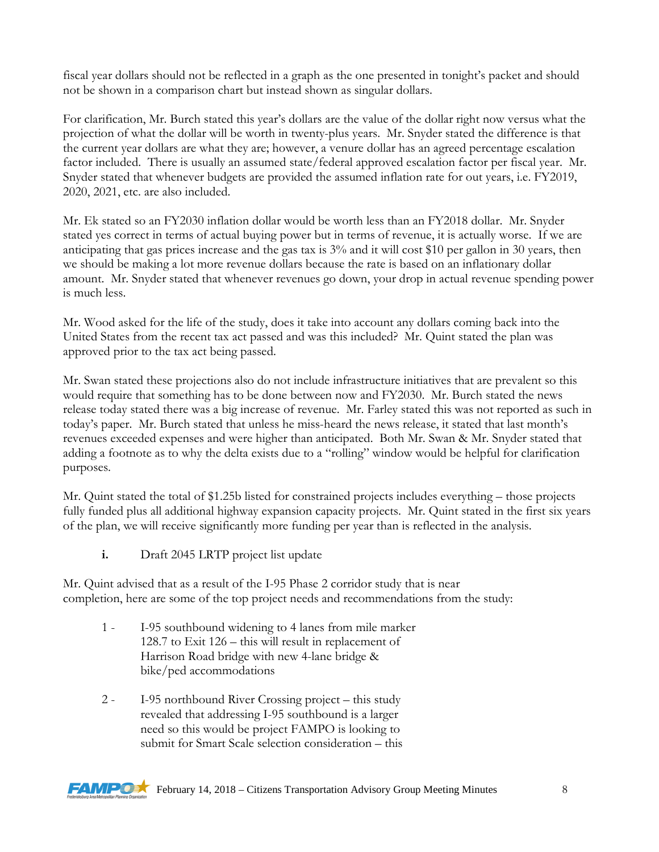fiscal year dollars should not be reflected in a graph as the one presented in tonight's packet and should not be shown in a comparison chart but instead shown as singular dollars.

For clarification, Mr. Burch stated this year's dollars are the value of the dollar right now versus what the projection of what the dollar will be worth in twenty-plus years. Mr. Snyder stated the difference is that the current year dollars are what they are; however, a venure dollar has an agreed percentage escalation factor included. There is usually an assumed state/federal approved escalation factor per fiscal year. Mr. Snyder stated that whenever budgets are provided the assumed inflation rate for out years, i.e. FY2019, 2020, 2021, etc. are also included.

Mr. Ek stated so an FY2030 inflation dollar would be worth less than an FY2018 dollar. Mr. Snyder stated yes correct in terms of actual buying power but in terms of revenue, it is actually worse. If we are anticipating that gas prices increase and the gas tax is 3% and it will cost \$10 per gallon in 30 years, then we should be making a lot more revenue dollars because the rate is based on an inflationary dollar amount. Mr. Snyder stated that whenever revenues go down, your drop in actual revenue spending power is much less.

Mr. Wood asked for the life of the study, does it take into account any dollars coming back into the United States from the recent tax act passed and was this included? Mr. Quint stated the plan was approved prior to the tax act being passed.

Mr. Swan stated these projections also do not include infrastructure initiatives that are prevalent so this would require that something has to be done between now and FY2030. Mr. Burch stated the news release today stated there was a big increase of revenue. Mr. Farley stated this was not reported as such in today's paper. Mr. Burch stated that unless he miss-heard the news release, it stated that last month's revenues exceeded expenses and were higher than anticipated. Both Mr. Swan & Mr. Snyder stated that adding a footnote as to why the delta exists due to a "rolling" window would be helpful for clarification purposes.

Mr. Quint stated the total of \$1.25b listed for constrained projects includes everything – those projects fully funded plus all additional highway expansion capacity projects. Mr. Quint stated in the first six years of the plan, we will receive significantly more funding per year than is reflected in the analysis.

**i.** Draft 2045 LRTP project list update

Mr. Quint advised that as a result of the I-95 Phase 2 corridor study that is near completion, here are some of the top project needs and recommendations from the study:

- 1 I-95 southbound widening to 4 lanes from mile marker 128.7 to Exit 126 – this will result in replacement of Harrison Road bridge with new 4-lane bridge & bike/ped accommodations
- 2 I-95 northbound River Crossing project this study revealed that addressing I-95 southbound is a larger need so this would be project FAMPO is looking to submit for Smart Scale selection consideration – this

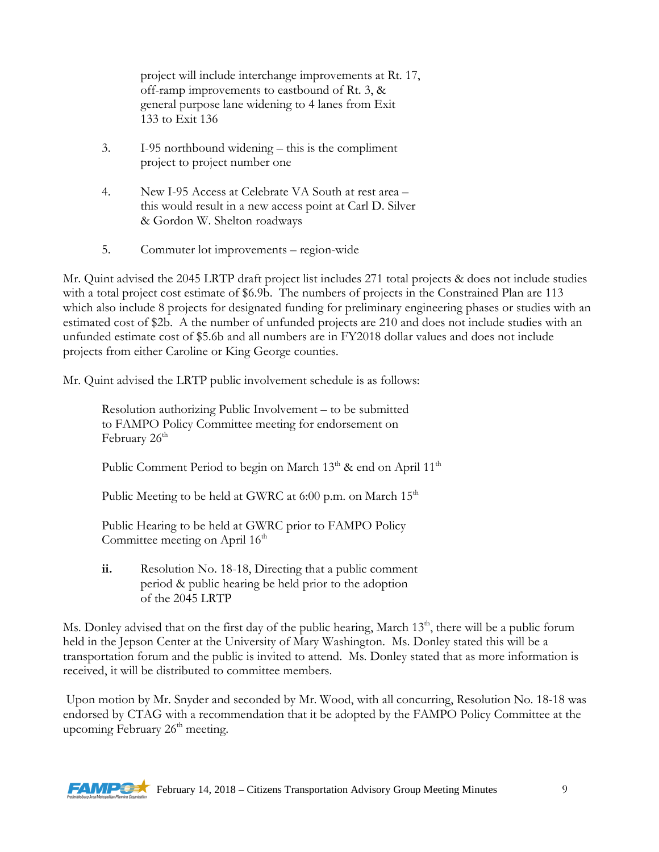project will include interchange improvements at Rt. 17, off-ramp improvements to eastbound of Rt. 3, & general purpose lane widening to 4 lanes from Exit 133 to Exit 136

- 3. I-95 northbound widening this is the compliment project to project number one
- 4. New I-95 Access at Celebrate VA South at rest area this would result in a new access point at Carl D. Silver & Gordon W. Shelton roadways
- 5. Commuter lot improvements region-wide

Mr. Quint advised the 2045 LRTP draft project list includes 271 total projects & does not include studies with a total project cost estimate of \$6.9b. The numbers of projects in the Constrained Plan are 113 which also include 8 projects for designated funding for preliminary engineering phases or studies with an estimated cost of \$2b. A the number of unfunded projects are 210 and does not include studies with an unfunded estimate cost of \$5.6b and all numbers are in FY2018 dollar values and does not include projects from either Caroline or King George counties.

Mr. Quint advised the LRTP public involvement schedule is as follows:

Resolution authorizing Public Involvement – to be submitted to FAMPO Policy Committee meeting for endorsement on February 26<sup>th</sup>

Public Comment Period to begin on March 13<sup>th</sup> & end on April 11<sup>th</sup>

Public Meeting to be held at GWRC at 6:00 p.m. on March  $15<sup>th</sup>$ 

Public Hearing to be held at GWRC prior to FAMPO Policy Committee meeting on April  $16<sup>th</sup>$ 

**ii.** Resolution No. 18-18, Directing that a public comment period & public hearing be held prior to the adoption of the 2045 LRTP

Ms. Donley advised that on the first day of the public hearing, March 13<sup>th</sup>, there will be a public forum held in the Jepson Center at the University of Mary Washington. Ms. Donley stated this will be a transportation forum and the public is invited to attend. Ms. Donley stated that as more information is received, it will be distributed to committee members.

Upon motion by Mr. Snyder and seconded by Mr. Wood, with all concurring, Resolution No. 18-18 was endorsed by CTAG with a recommendation that it be adopted by the FAMPO Policy Committee at the upcoming February  $26<sup>th</sup>$  meeting.

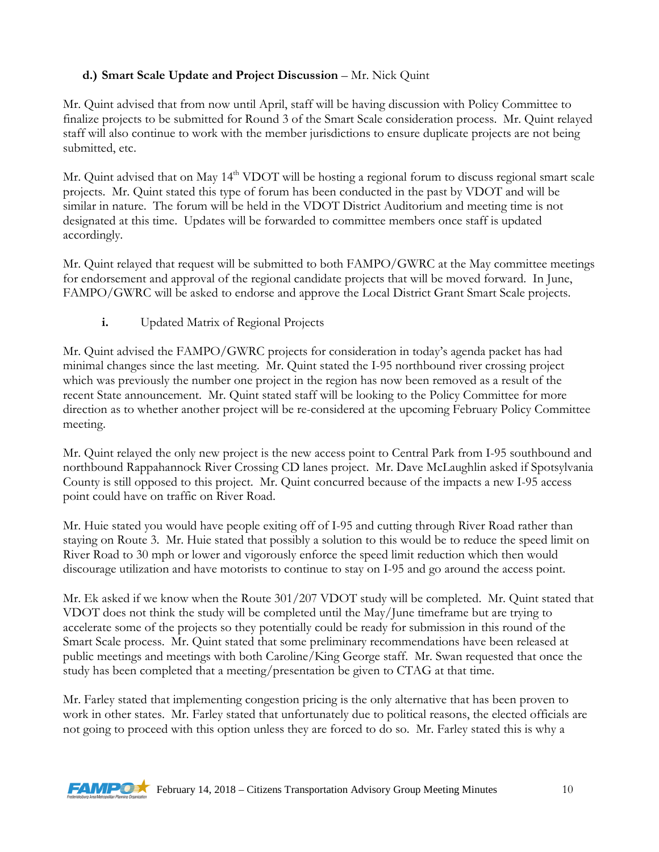# **d.) Smart Scale Update and Project Discussion** – Mr. Nick Quint

Mr. Quint advised that from now until April, staff will be having discussion with Policy Committee to finalize projects to be submitted for Round 3 of the Smart Scale consideration process. Mr. Quint relayed staff will also continue to work with the member jurisdictions to ensure duplicate projects are not being submitted, etc.

Mr. Quint advised that on May 14<sup>th</sup> VDOT will be hosting a regional forum to discuss regional smart scale projects. Mr. Quint stated this type of forum has been conducted in the past by VDOT and will be similar in nature. The forum will be held in the VDOT District Auditorium and meeting time is not designated at this time. Updates will be forwarded to committee members once staff is updated accordingly.

Mr. Quint relayed that request will be submitted to both FAMPO/GWRC at the May committee meetings for endorsement and approval of the regional candidate projects that will be moved forward. In June, FAMPO/GWRC will be asked to endorse and approve the Local District Grant Smart Scale projects.

**i.** Updated Matrix of Regional Projects

Mr. Quint advised the FAMPO/GWRC projects for consideration in today's agenda packet has had minimal changes since the last meeting. Mr. Quint stated the I-95 northbound river crossing project which was previously the number one project in the region has now been removed as a result of the recent State announcement. Mr. Quint stated staff will be looking to the Policy Committee for more direction as to whether another project will be re-considered at the upcoming February Policy Committee meeting.

Mr. Quint relayed the only new project is the new access point to Central Park from I-95 southbound and northbound Rappahannock River Crossing CD lanes project. Mr. Dave McLaughlin asked if Spotsylvania County is still opposed to this project. Mr. Quint concurred because of the impacts a new I-95 access point could have on traffic on River Road.

Mr. Huie stated you would have people exiting off of I-95 and cutting through River Road rather than staying on Route 3. Mr. Huie stated that possibly a solution to this would be to reduce the speed limit on River Road to 30 mph or lower and vigorously enforce the speed limit reduction which then would discourage utilization and have motorists to continue to stay on I-95 and go around the access point.

Mr. Ek asked if we know when the Route 301/207 VDOT study will be completed. Mr. Quint stated that VDOT does not think the study will be completed until the May/June timeframe but are trying to accelerate some of the projects so they potentially could be ready for submission in this round of the Smart Scale process. Mr. Quint stated that some preliminary recommendations have been released at public meetings and meetings with both Caroline/King George staff. Mr. Swan requested that once the study has been completed that a meeting/presentation be given to CTAG at that time.

Mr. Farley stated that implementing congestion pricing is the only alternative that has been proven to work in other states. Mr. Farley stated that unfortunately due to political reasons, the elected officials are not going to proceed with this option unless they are forced to do so. Mr. Farley stated this is why a

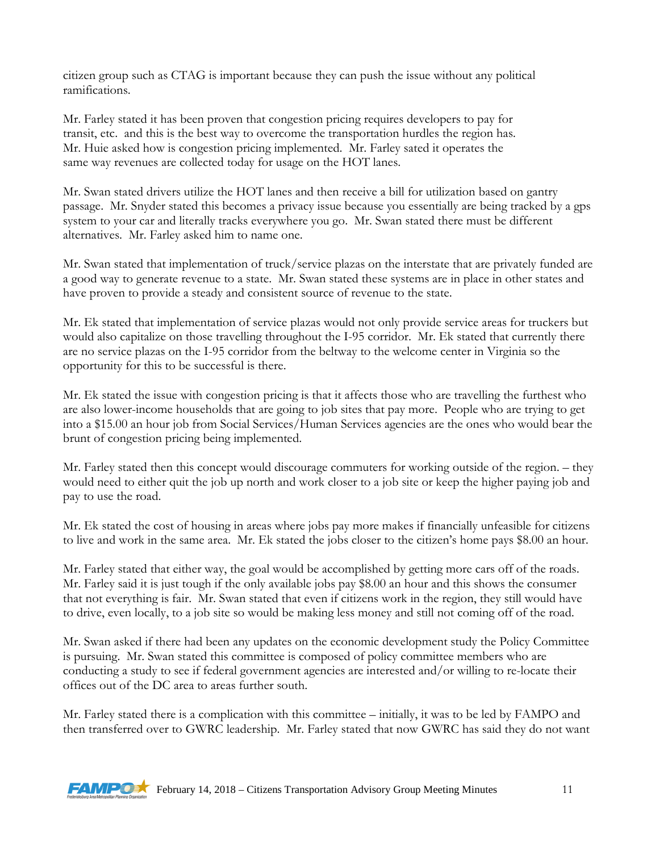citizen group such as CTAG is important because they can push the issue without any political ramifications.

Mr. Farley stated it has been proven that congestion pricing requires developers to pay for transit, etc. and this is the best way to overcome the transportation hurdles the region has. Mr. Huie asked how is congestion pricing implemented. Mr. Farley sated it operates the same way revenues are collected today for usage on the HOT lanes.

Mr. Swan stated drivers utilize the HOT lanes and then receive a bill for utilization based on gantry passage. Mr. Snyder stated this becomes a privacy issue because you essentially are being tracked by a gps system to your car and literally tracks everywhere you go. Mr. Swan stated there must be different alternatives. Mr. Farley asked him to name one.

Mr. Swan stated that implementation of truck/service plazas on the interstate that are privately funded are a good way to generate revenue to a state. Mr. Swan stated these systems are in place in other states and have proven to provide a steady and consistent source of revenue to the state.

Mr. Ek stated that implementation of service plazas would not only provide service areas for truckers but would also capitalize on those travelling throughout the I-95 corridor. Mr. Ek stated that currently there are no service plazas on the I-95 corridor from the beltway to the welcome center in Virginia so the opportunity for this to be successful is there.

Mr. Ek stated the issue with congestion pricing is that it affects those who are travelling the furthest who are also lower-income households that are going to job sites that pay more. People who are trying to get into a \$15.00 an hour job from Social Services/Human Services agencies are the ones who would bear the brunt of congestion pricing being implemented.

Mr. Farley stated then this concept would discourage commuters for working outside of the region. – they would need to either quit the job up north and work closer to a job site or keep the higher paying job and pay to use the road.

Mr. Ek stated the cost of housing in areas where jobs pay more makes if financially unfeasible for citizens to live and work in the same area. Mr. Ek stated the jobs closer to the citizen's home pays \$8.00 an hour.

Mr. Farley stated that either way, the goal would be accomplished by getting more cars off of the roads. Mr. Farley said it is just tough if the only available jobs pay \$8.00 an hour and this shows the consumer that not everything is fair. Mr. Swan stated that even if citizens work in the region, they still would have to drive, even locally, to a job site so would be making less money and still not coming off of the road.

Mr. Swan asked if there had been any updates on the economic development study the Policy Committee is pursuing. Mr. Swan stated this committee is composed of policy committee members who are conducting a study to see if federal government agencies are interested and/or willing to re-locate their offices out of the DC area to areas further south.

Mr. Farley stated there is a complication with this committee – initially, it was to be led by FAMPO and then transferred over to GWRC leadership. Mr. Farley stated that now GWRC has said they do not want

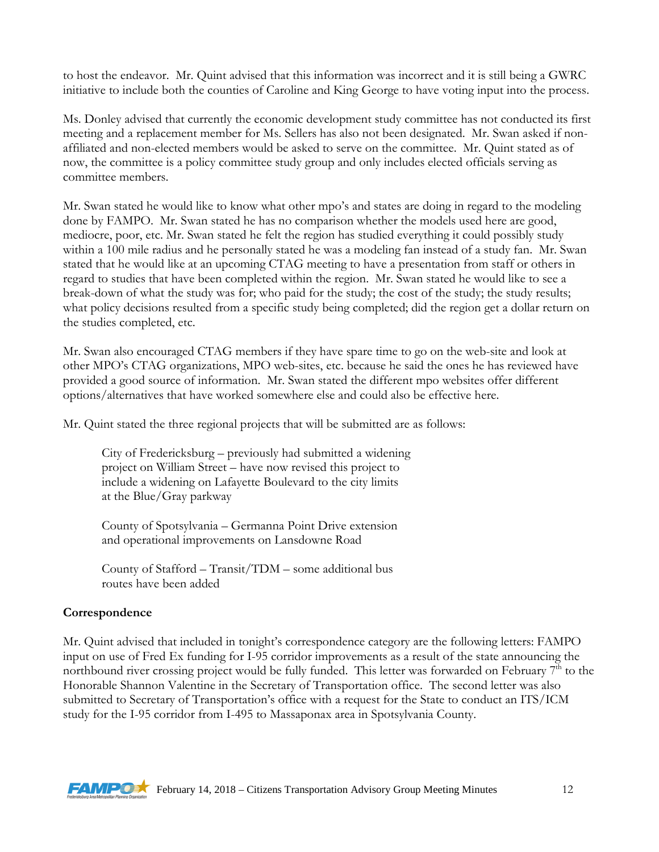to host the endeavor. Mr. Quint advised that this information was incorrect and it is still being a GWRC initiative to include both the counties of Caroline and King George to have voting input into the process.

Ms. Donley advised that currently the economic development study committee has not conducted its first meeting and a replacement member for Ms. Sellers has also not been designated. Mr. Swan asked if nonaffiliated and non-elected members would be asked to serve on the committee. Mr. Quint stated as of now, the committee is a policy committee study group and only includes elected officials serving as committee members.

Mr. Swan stated he would like to know what other mpo's and states are doing in regard to the modeling done by FAMPO. Mr. Swan stated he has no comparison whether the models used here are good, mediocre, poor, etc. Mr. Swan stated he felt the region has studied everything it could possibly study within a 100 mile radius and he personally stated he was a modeling fan instead of a study fan. Mr. Swan stated that he would like at an upcoming CTAG meeting to have a presentation from staff or others in regard to studies that have been completed within the region. Mr. Swan stated he would like to see a break-down of what the study was for; who paid for the study; the cost of the study; the study results; what policy decisions resulted from a specific study being completed; did the region get a dollar return on the studies completed, etc.

Mr. Swan also encouraged CTAG members if they have spare time to go on the web-site and look at other MPO's CTAG organizations, MPO web-sites, etc. because he said the ones he has reviewed have provided a good source of information. Mr. Swan stated the different mpo websites offer different options/alternatives that have worked somewhere else and could also be effective here.

Mr. Quint stated the three regional projects that will be submitted are as follows:

City of Fredericksburg – previously had submitted a widening project on William Street – have now revised this project to include a widening on Lafayette Boulevard to the city limits at the Blue/Gray parkway

County of Spotsylvania – Germanna Point Drive extension and operational improvements on Lansdowne Road

County of Stafford – Transit/TDM – some additional bus routes have been added

### **Correspondence**

Mr. Quint advised that included in tonight's correspondence category are the following letters: FAMPO input on use of Fred Ex funding for I-95 corridor improvements as a result of the state announcing the northbound river crossing project would be fully funded. This letter was forwarded on February  $7<sup>th</sup>$  to the Honorable Shannon Valentine in the Secretary of Transportation office. The second letter was also submitted to Secretary of Transportation's office with a request for the State to conduct an ITS/ICM study for the I-95 corridor from I-495 to Massaponax area in Spotsylvania County.

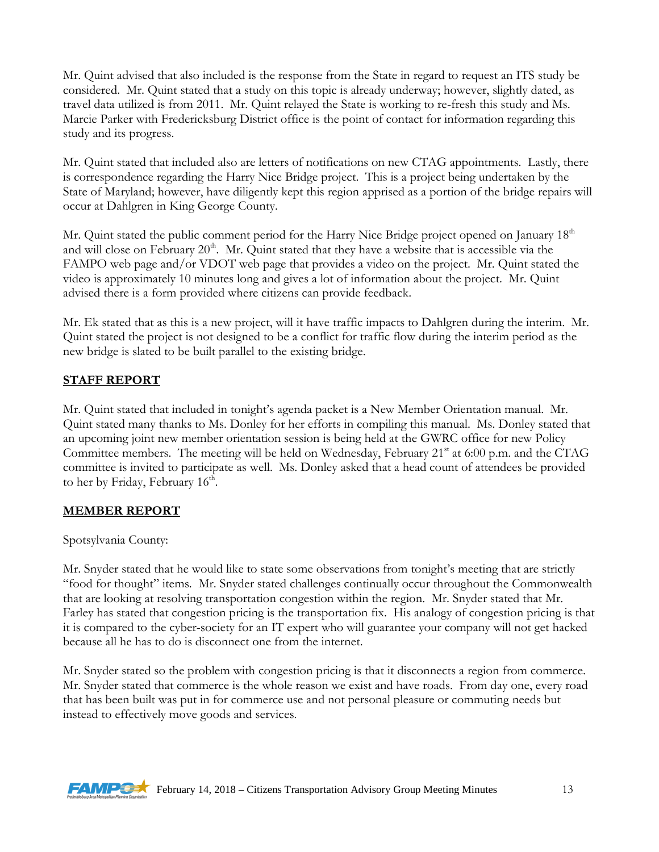Mr. Quint advised that also included is the response from the State in regard to request an ITS study be considered. Mr. Quint stated that a study on this topic is already underway; however, slightly dated, as travel data utilized is from 2011. Mr. Quint relayed the State is working to re-fresh this study and Ms. Marcie Parker with Fredericksburg District office is the point of contact for information regarding this study and its progress.

Mr. Quint stated that included also are letters of notifications on new CTAG appointments. Lastly, there is correspondence regarding the Harry Nice Bridge project. This is a project being undertaken by the State of Maryland; however, have diligently kept this region apprised as a portion of the bridge repairs will occur at Dahlgren in King George County.

Mr. Quint stated the public comment period for the Harry Nice Bridge project opened on January 18<sup>th</sup> and will close on February  $20<sup>th</sup>$ . Mr. Quint stated that they have a website that is accessible via the FAMPO web page and/or VDOT web page that provides a video on the project. Mr. Quint stated the video is approximately 10 minutes long and gives a lot of information about the project. Mr. Quint advised there is a form provided where citizens can provide feedback.

Mr. Ek stated that as this is a new project, will it have traffic impacts to Dahlgren during the interim. Mr. Quint stated the project is not designed to be a conflict for traffic flow during the interim period as the new bridge is slated to be built parallel to the existing bridge.

### **STAFF REPORT**

Mr. Quint stated that included in tonight's agenda packet is a New Member Orientation manual. Mr. Quint stated many thanks to Ms. Donley for her efforts in compiling this manual. Ms. Donley stated that an upcoming joint new member orientation session is being held at the GWRC office for new Policy Committee members. The meeting will be held on Wednesday, February  $21<sup>st</sup>$  at 6:00 p.m. and the CTAG committee is invited to participate as well. Ms. Donley asked that a head count of attendees be provided to her by Friday, February  $16<sup>th</sup>$ .

### **MEMBER REPORT**

#### Spotsylvania County:

Mr. Snyder stated that he would like to state some observations from tonight's meeting that are strictly "food for thought" items. Mr. Snyder stated challenges continually occur throughout the Commonwealth that are looking at resolving transportation congestion within the region. Mr. Snyder stated that Mr. Farley has stated that congestion pricing is the transportation fix. His analogy of congestion pricing is that it is compared to the cyber-society for an IT expert who will guarantee your company will not get hacked because all he has to do is disconnect one from the internet.

Mr. Snyder stated so the problem with congestion pricing is that it disconnects a region from commerce. Mr. Snyder stated that commerce is the whole reason we exist and have roads. From day one, every road that has been built was put in for commerce use and not personal pleasure or commuting needs but instead to effectively move goods and services.